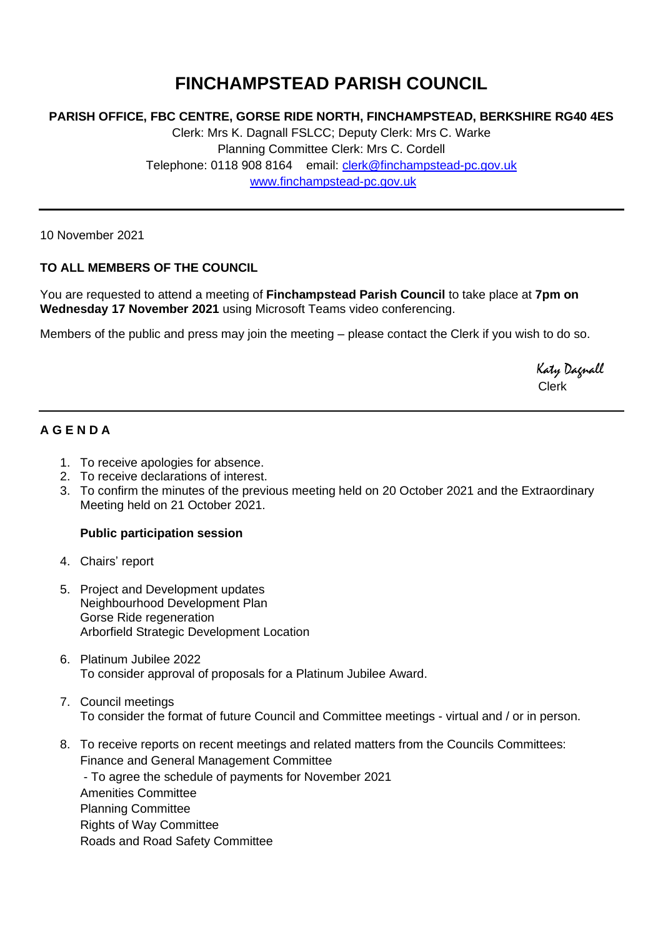# **FINCHAMPSTEAD PARISH COUNCIL**

### **PARISH OFFICE, FBC CENTRE, GORSE RIDE NORTH, FINCHAMPSTEAD, BERKSHIRE RG40 4ES**

Clerk: Mrs K. Dagnall FSLCC; Deputy Clerk: Mrs C. Warke Planning Committee Clerk: Mrs C. Cordell Telephone: 0118 908 8164 email: [clerk@finchampstead-pc.gov.uk](mailto:clerk@finchampstead-pc.gov.uk) [www.finchampstead-pc.gov.uk](http://www.finchampstead-pc.gov.uk/)

10 November 2021

#### **TO ALL MEMBERS OF THE COUNCIL**

You are requested to attend a meeting of **Finchampstead Parish Council** to take place at **7pm on Wednesday 17 November 2021** using Microsoft Teams video conferencing.

Members of the public and press may join the meeting – please contact the Clerk if you wish to do so.

 Katy Dagnall Clerk

## **A G E N D A**

- 1. To receive apologies for absence.
- 2. To receive declarations of interest.
- 3. To confirm the minutes of the previous meeting held on 20 October 2021 and the Extraordinary Meeting held on 21 October 2021.

#### **Public participation session**

- 4. Chairs' report
- 5. Project and Development updates Neighbourhood Development Plan Gorse Ride regeneration Arborfield Strategic Development Location
- 6. Platinum Jubilee 2022 To consider approval of proposals for a Platinum Jubilee Award.
- 7. Council meetings To consider the format of future Council and Committee meetings - virtual and / or in person.
- 8. To receive reports on recent meetings and related matters from the Councils Committees: Finance and General Management Committee

- To agree the schedule of payments for November 2021 Amenities Committee Planning Committee Rights of Way Committee Roads and Road Safety Committee